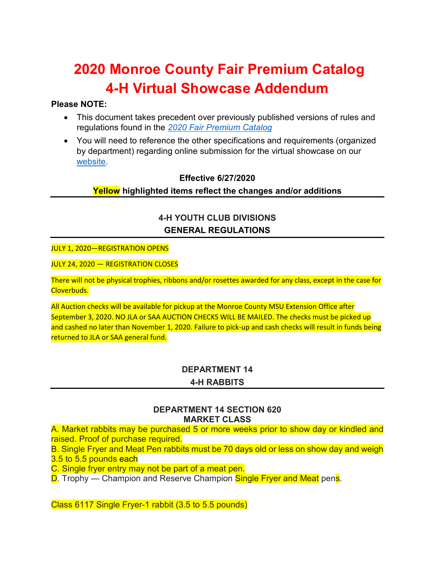# **2020 Monroe County Fair Premium Catalog 4-H Virtual Showcase Addendum**

# **Please NOTE:**

- This document takes precedent over previously published versions of rules and regulations found in the *[2020 Fair Premium Catalog](http://monroecountyfair.com/wp-content/uploads/2010/12/2020-4-H-Premium-Catalog.pdf)*
- You will need to reference the other specifications and requirements (organized by department) regarding online submission for the virtual showcase on our [website.](https://www.canr.msu.edu/monroe/monroe_county_4_h/monroe-county-4-h-virtual-auction-and-showcase)

# **Effective 6/27/2020 Yellow highlighted items reflect the changes and/or additions**

# **4-H YOUTH CLUB DIVISIONS GENERAL REGULATIONS**

#### JULY 1, 2020—REGISTRATION OPENS

JULY 24, 2020 — REGISTRATION CLOSES

There will not be physical trophies, ribbons and/or rosettes awarded for any class, except in the case for Cloverbuds.

All Auction checks will be available for pickup at the Monroe County MSU Extension Office after September 3, 2020. NO JLA or SAA AUCTION CHECKS WILL BE MAILED. The checks must be picked up and cashed no later than November 1, 2020. Failure to pick-up and cash checks will result in funds being returned to JLA or SAA general fund.

#### **DEPARTMENT 14**

#### **4-H RABBITS**

#### **DEPARTMENT 14 SECTION 620 MARKET CLASS**

A. Market rabbits may be purchased 5 or more weeks prior to show day or kindled and raised. Proof of purchase required.

B. Single Fryer and Meat Pen rabbits must be 70 days old or less on show day and weigh 3.5 to 5.5 pounds each

C. Single fryer entry may not be part of a meat pen.

D. Trophy — Champion and Reserve Champion Single Fryer and Meat pens.

Class 6117 Single Fryer-1 rabbit (3.5 to 5.5 pounds)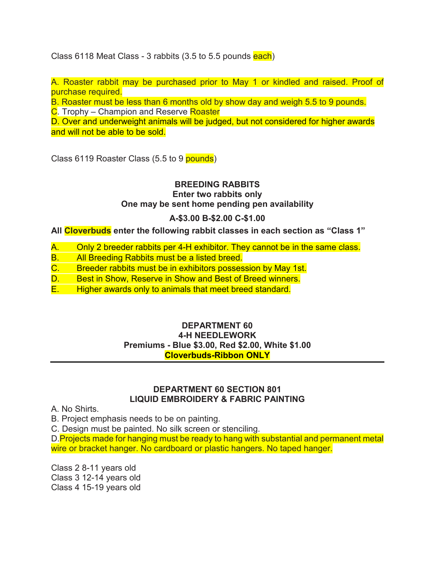Class 6118 Meat Class - 3 rabbits (3.5 to 5.5 pounds each)

A. Roaster rabbit may be purchased prior to May 1 or kindled and raised. Proof of purchase required.

B. Roaster must be less than 6 months old by show day and weigh 5.5 to 9 pounds.

C. Trophy – Champion and Reserve Roaster

D. Over and underweight animals will be judged, but not considered for higher awards and will not be able to be sold.

Class 6119 Roaster Class (5.5 to 9 pounds)

# **BREEDING RABBITS**

**Enter two rabbits only** 

**One may be sent home pending pen availability** 

# **A-\$3.00 B-\$2.00 C-\$1.00**

**All Cloverbuds enter the following rabbit classes in each section as "Class 1"**

- A. Only 2 breeder rabbits per 4-H exhibitor. They cannot be in the same class.
- B. All Breeding Rabbits must be a listed breed.<br>C. Breeder rabbits must be in exhibitors posses
- Breeder rabbits must be in exhibitors possession by May 1st.
- D. Best in Show, Reserve in Show and Best of Breed winners.
- E. Higher awards only to animals that meet breed standard.

# **DEPARTMENT 60 4-H NEEDLEWORK Premiums - Blue \$3.00, Red \$2.00, White \$1.00 Cloverbuds-Ribbon ONLY**

#### **DEPARTMENT 60 SECTION 801 LIQUID EMBROIDERY & FABRIC PAINTING**

A. No Shirts.

B. Project emphasis needs to be on painting.

C. Design must be painted. No silk screen or stenciling.

D. Projects made for hanging must be ready to hang with substantial and permanent metal wire or bracket hanger. No cardboard or plastic hangers. No taped hanger.

Class 2 8-11 years old Class 3 12-14 years old Class 4 15-19 years old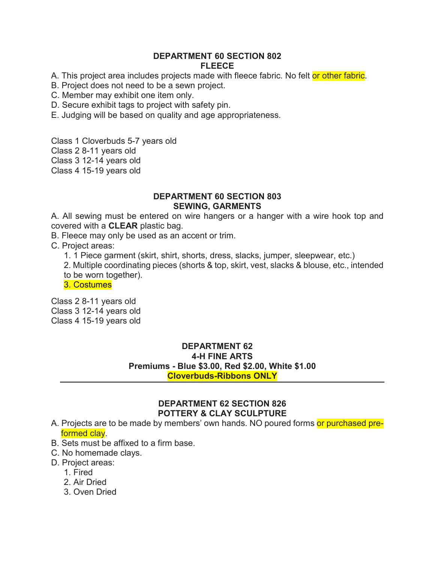#### **DEPARTMENT 60 SECTION 802 FLEECE**

A. This project area includes projects made with fleece fabric. No felt or other fabric.

B. Project does not need to be a sewn project.

C. Member may exhibit one item only.

D. Secure exhibit tags to project with safety pin.

E. Judging will be based on quality and age appropriateness.

Class 1 Cloverbuds 5-7 years old

Class 2 8-11 years old

Class 3 12-14 years old

Class 4 15-19 years old

#### **DEPARTMENT 60 SECTION 803 SEWING, GARMENTS**

A. All sewing must be entered on wire hangers or a hanger with a wire hook top and covered with a **CLEAR** plastic bag.

B. Fleece may only be used as an accent or trim.

C. Project areas:

1. 1 Piece garment (skirt, shirt, shorts, dress, slacks, jumper, sleepwear, etc.)

2. Multiple coordinating pieces (shorts & top, skirt, vest, slacks & blouse, etc., intended to be worn together).

3. Costumes

Class 2 8-11 years old Class 3 12-14 years old Class 4 15-19 years old

> **DEPARTMENT 62 4-H FINE ARTS Premiums - Blue \$3.00, Red \$2.00, White \$1.00 Cloverbuds-Ribbons ONLY**

# **DEPARTMENT 62 SECTION 826 POTTERY & CLAY SCULPTURE**

- A. Projects are to be made by members' own hands. NO poured forms or purchased preformed clay.
- B. Sets must be affixed to a firm base.
- C. No homemade clays.

#### D. Project areas:

- 1. Fired
- 2. Air Dried
- 3. Oven Dried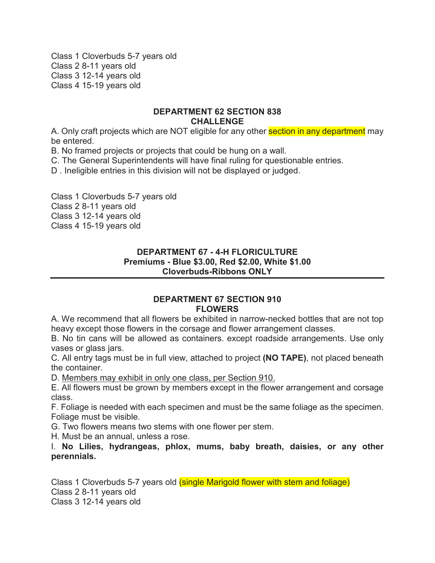Class 1 Cloverbuds 5-7 years old Class 2 8-11 years old Class 3 12-14 years old Class 4 15-19 years old

#### **DEPARTMENT 62 SECTION 838 CHALLENGE**

A. Only craft projects which are NOT eligible for any other **section in any department** may be entered.

B. No framed projects or projects that could be hung on a wall.

C. The General Superintendents will have final ruling for questionable entries.

D . Ineligible entries in this division will not be displayed or judged.

Class 1 Cloverbuds 5-7 years old Class 2 8-11 years old Class 3 12-14 years old Class 4 15-19 years old

# **DEPARTMENT 67 - 4-H FLORICULTURE Premiums - Blue \$3.00, Red \$2.00, White \$1.00 Cloverbuds-Ribbons ONLY**

#### **DEPARTMENT 67 SECTION 910 FLOWERS**

A. We recommend that all flowers be exhibited in narrow-necked bottles that are not top heavy except those flowers in the corsage and flower arrangement classes.

B. No tin cans will be allowed as containers. except roadside arrangements. Use only vases or glass jars.

C. All entry tags must be in full view, attached to project **(NO TAPE)**, not placed beneath the container.

D. Members may exhibit in only one class, per Section 910.

E. All flowers must be grown by members except in the flower arrangement and corsage class.

F. Foliage is needed with each specimen and must be the same foliage as the specimen. Foliage must be visible.

G. Two flowers means two stems with one flower per stem.

H. Must be an annual, unless a rose.

I. **No Lilies, hydrangeas, phlox, mums, baby breath, daisies, or any other perennials.** 

Class 1 Cloverbuds 5-7 years old *(single Marigold flower with stem and foliage)* Class 2 8-11 years old Class 3 12-14 years old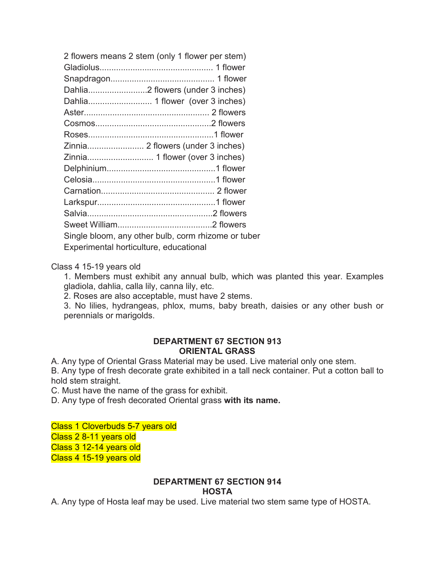| Single bloom, any other bulb, corm rhizome or tuber |
|-----------------------------------------------------|
|                                                     |
|                                                     |

#### Class 4 15-19 years old

1. Members must exhibit any annual bulb, which was planted this year. Examples gladiola, dahlia, calla lily, canna lily, etc.

2. Roses are also acceptable, must have 2 stems.

3. No lilies, hydrangeas, phlox, mums, baby breath, daisies or any other bush or perennials or marigolds.

#### **DEPARTMENT 67 SECTION 913 ORIENTAL GRASS**

A. Any type of Oriental Grass Material may be used. Live material only one stem.

B. Any type of fresh decorate grate exhibited in a tall neck container. Put a cotton ball to hold stem straight.

C. Must have the name of the grass for exhibit.

D. Any type of fresh decorated Oriental grass **with its name.** 

#### Class 1 Cloverbuds 5-7 years old

Class 2 8-11 years old

Class 3 12-14 years old Class 4 15-19 years old

#### **DEPARTMENT 67 SECTION 914 HOSTA**

A. Any type of Hosta leaf may be used. Live material two stem same type of HOSTA.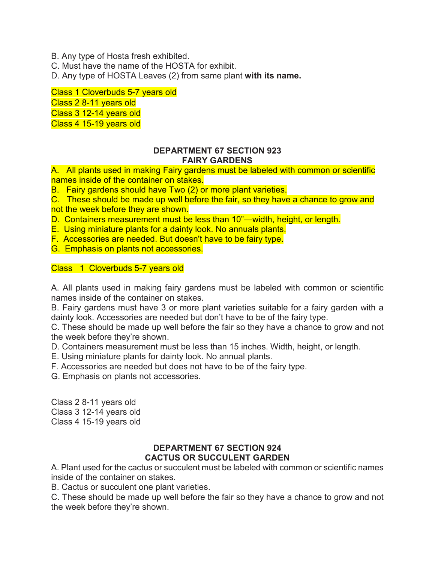B. Any type of Hosta fresh exhibited.

C. Must have the name of the HOSTA for exhibit.

D. Any type of HOSTA Leaves (2) from same plant **with its name.**

Class 1 Cloverbuds 5-7 years old Class 2 8-11 years old Class 3 12-14 years old Class 4 15-19 years old

#### **DEPARTMENT 67 SECTION 923 FAIRY GARDENS**

A. All plants used in making Fairy gardens must be labeled with common or scientific names inside of the container on stakes.

B. Fairy gardens should have Two (2) or more plant varieties.

C. These should be made up well before the fair, so they have a chance to grow and not the week before they are shown.

D. Containers measurement must be less than 10"—width, height, or length.

E. Using miniature plants for a dainty look. No annuals plants.

F. Accessories are needed. But doesn't have to be fairy type.

G. Emphasis on plants not accessories.

Class 1 Cloverbuds 5-7 years old

A. All plants used in making fairy gardens must be labeled with common or scientific names inside of the container on stakes.

B. Fairy gardens must have 3 or more plant varieties suitable for a fairy garden with a dainty look. Accessories are needed but don't have to be of the fairy type.

C. These should be made up well before the fair so they have a chance to grow and not the week before they're shown.

D. Containers measurement must be less than 15 inches. Width, height, or length.

E. Using miniature plants for dainty look. No annual plants.

F. Accessories are needed but does not have to be of the fairy type.

G. Emphasis on plants not accessories.

Class 2 8-11 years old Class 3 12-14 years old Class 4 15-19 years old

#### **DEPARTMENT 67 SECTION 924 CACTUS OR SUCCULENT GARDEN**

A. Plant used for the cactus or succulent must be labeled with common or scientific names inside of the container on stakes.

B. Cactus or succulent one plant varieties.

C. These should be made up well before the fair so they have a chance to grow and not the week before they're shown.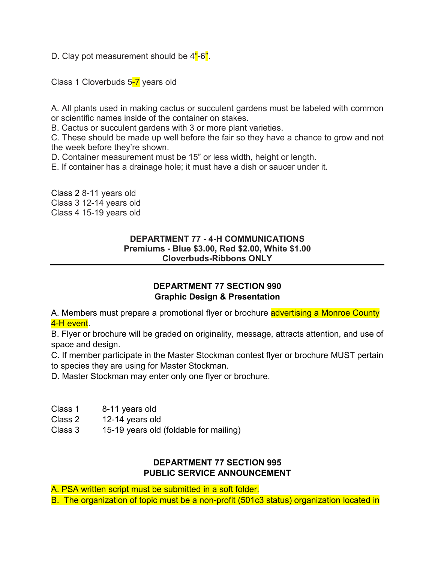D. Clay pot measurement should be 4<sup>"</sup>-6".

Class 1 Cloverbuds 5-7 years old

A. All plants used in making cactus or succulent gardens must be labeled with common or scientific names inside of the container on stakes.

B. Cactus or succulent gardens with 3 or more plant varieties.

C. These should be made up well before the fair so they have a chance to grow and not the week before they're shown.

D. Container measurement must be 15" or less width, height or length.

E. If container has a drainage hole; it must have a dish or saucer under it.

Class 2 8-11 years old Class 3 12-14 years old Class 4 15-19 years old

# **DEPARTMENT 77 - 4-H COMMUNICATIONS Premiums - Blue \$3.00, Red \$2.00, White \$1.00 Cloverbuds-Ribbons ONLY**

# **DEPARTMENT 77 SECTION 990 Graphic Design & Presentation**

A. Members must prepare a promotional flyer or brochure advertising a Monroe County 4-H event.

B. Flyer or brochure will be graded on originality, message, attracts attention, and use of space and design.

C. If member participate in the Master Stockman contest flyer or brochure MUST pertain to species they are using for Master Stockman.

D. Master Stockman may enter only one flyer or brochure.

Class 1 8-11 years old

Class 2 12-14 years old

Class 3 15-19 years old (foldable for mailing)

# **DEPARTMENT 77 SECTION 995 PUBLIC SERVICE ANNOUNCEMENT**

A. PSA written script must be submitted in a soft folder.

B. The organization of topic must be a non-profit (501c3 status) organization located in